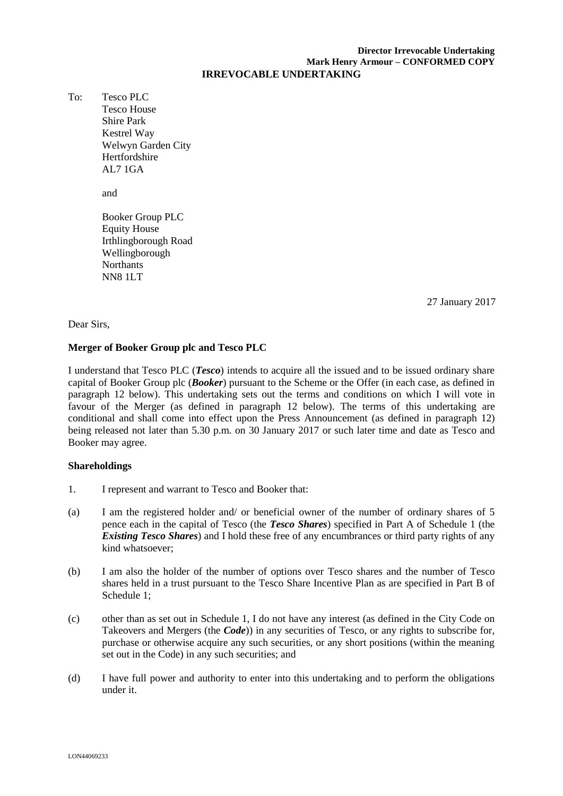#### **Director Irrevocable Undertaking Mark Henry Armour – CONFORMED COPY IRREVOCABLE UNDERTAKING**

To: Tesco PLC Tesco House Shire Park Kestrel Way Welwyn Garden City Hertfordshire AL7 1GA

and

Booker Group PLC Equity House Irthlingborough Road Wellingborough **Northants** NN8 1LT

\_\_\_\_\_ January 2017 27 27 January 2017

#### Dear Sirs,

## **Merger of Booker Group plc and Tesco PLC**

I understand that Tesco PLC (*Tesco*) intends to acquire all the issued and to be issued ordinary share capital of Booker Group plc (*Booker*) pursuant to the Scheme or the Offer (in each case, as defined in paragraph 12 below). This undertaking sets out the terms and conditions on which I will vote in favour of the Merger (as defined in paragraph 12 below). The terms of this undertaking are conditional and shall come into effect upon the Press Announcement (as defined in paragraph 12) being released not later than 5.30 p.m. on 30 January 2017 or such later time and date as Tesco and Booker may agree.

## **Shareholdings**

- 1. I represent and warrant to Tesco and Booker that:
- (a) I am the registered holder and/ or beneficial owner of the number of ordinary shares of 5 pence each in the capital of Tesco (the *Tesco Shares*) specified in Part A of Schedule 1 (the *Existing Tesco Shares*) and I hold these free of any encumbrances or third party rights of any kind whatsoever;
- (b) I am also the holder of the number of options over Tesco shares and the number of Tesco shares held in a trust pursuant to the Tesco Share Incentive Plan as are specified in Part B of Schedule 1;
- (c) other than as set out in Schedule 1, I do not have any interest (as defined in the City Code on Takeovers and Mergers (the *Code*)) in any securities of Tesco, or any rights to subscribe for, purchase or otherwise acquire any such securities, or any short positions (within the meaning set out in the Code) in any such securities; and
- (d) I have full power and authority to enter into this undertaking and to perform the obligations under it.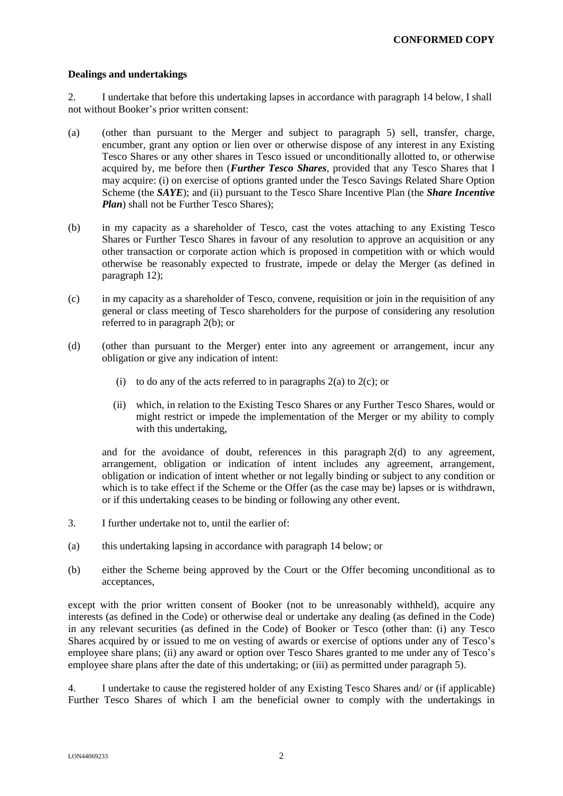#### **Dealings and undertakings**

2. I undertake that before this undertaking lapses in accordance with paragraph 14 below, I shall not without Booker's prior written consent:

- (a) (other than pursuant to the Merger and subject to paragraph 5) sell, transfer, charge, encumber, grant any option or lien over or otherwise dispose of any interest in any Existing Tesco Shares or any other shares in Tesco issued or unconditionally allotted to, or otherwise acquired by, me before then (*Further Tesco Shares*, provided that any Tesco Shares that I may acquire: (i) on exercise of options granted under the Tesco Savings Related Share Option Scheme (the *SAYE*); and (ii) pursuant to the Tesco Share Incentive Plan (the *Share Incentive Plan*) shall not be Further Tesco Shares):
- (b) in my capacity as a shareholder of Tesco, cast the votes attaching to any Existing Tesco Shares or Further Tesco Shares in favour of any resolution to approve an acquisition or any other transaction or corporate action which is proposed in competition with or which would otherwise be reasonably expected to frustrate, impede or delay the Merger (as defined in paragraph 12);
- (c) in my capacity as a shareholder of Tesco, convene, requisition or join in the requisition of any general or class meeting of Tesco shareholders for the purpose of considering any resolution referred to in paragraph 2(b); or
- (d) (other than pursuant to the Merger) enter into any agreement or arrangement, incur any obligation or give any indication of intent:
	- (i) to do any of the acts referred to in paragraphs  $2(a)$  to  $2(c)$ ; or
	- (ii) which, in relation to the Existing Tesco Shares or any Further Tesco Shares, would or might restrict or impede the implementation of the Merger or my ability to comply with this undertaking,

and for the avoidance of doubt, references in this paragraph 2(d) to any agreement, arrangement, obligation or indication of intent includes any agreement, arrangement, obligation or indication of intent whether or not legally binding or subject to any condition or which is to take effect if the Scheme or the Offer (as the case may be) lapses or is withdrawn, or if this undertaking ceases to be binding or following any other event.

- 3. I further undertake not to, until the earlier of:
- (a) this undertaking lapsing in accordance with paragraph 14 below; or
- (b) either the Scheme being approved by the Court or the Offer becoming unconditional as to acceptances,

except with the prior written consent of Booker (not to be unreasonably withheld), acquire any interests (as defined in the Code) or otherwise deal or undertake any dealing (as defined in the Code) in any relevant securities (as defined in the Code) of Booker or Tesco (other than: (i) any Tesco Shares acquired by or issued to me on vesting of awards or exercise of options under any of Tesco's employee share plans; (ii) any award or option over Tesco Shares granted to me under any of Tesco's employee share plans after the date of this undertaking; or (iii) as permitted under paragraph 5).

4. I undertake to cause the registered holder of any Existing Tesco Shares and/ or (if applicable) Further Tesco Shares of which I am the beneficial owner to comply with the undertakings in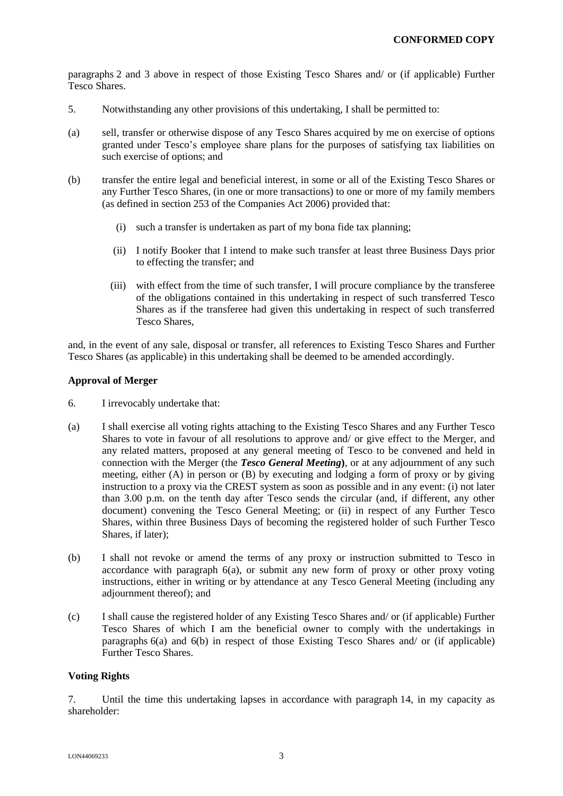paragraphs 2 and 3 above in respect of those Existing Tesco Shares and/ or (if applicable) Further Tesco Shares.

- 5. Notwithstanding any other provisions of this undertaking, I shall be permitted to:
- (a) sell, transfer or otherwise dispose of any Tesco Shares acquired by me on exercise of options granted under Tesco's employee share plans for the purposes of satisfying tax liabilities on such exercise of options; and
- (b) transfer the entire legal and beneficial interest, in some or all of the Existing Tesco Shares or any Further Tesco Shares, (in one or more transactions) to one or more of my family members (as defined in section 253 of the Companies Act 2006) provided that:
	- (i) such a transfer is undertaken as part of my bona fide tax planning;
	- (ii) I notify Booker that I intend to make such transfer at least three Business Days prior to effecting the transfer; and
	- (iii) with effect from the time of such transfer, I will procure compliance by the transferee of the obligations contained in this undertaking in respect of such transferred Tesco Shares as if the transferee had given this undertaking in respect of such transferred Tesco Shares,

and, in the event of any sale, disposal or transfer, all references to Existing Tesco Shares and Further Tesco Shares (as applicable) in this undertaking shall be deemed to be amended accordingly.

## **Approval of Merger**

- 6. I irrevocably undertake that:
- (a) I shall exercise all voting rights attaching to the Existing Tesco Shares and any Further Tesco Shares to vote in favour of all resolutions to approve and/ or give effect to the Merger, and any related matters, proposed at any general meeting of Tesco to be convened and held in connection with the Merger (the *Tesco General Meeting***)**, or at any adjournment of any such meeting, either (A) in person or (B) by executing and lodging a form of proxy or by giving instruction to a proxy via the CREST system as soon as possible and in any event: (i) not later than 3.00 p.m. on the tenth day after Tesco sends the circular (and, if different, any other document) convening the Tesco General Meeting; or (ii) in respect of any Further Tesco Shares, within three Business Days of becoming the registered holder of such Further Tesco Shares, if later);
- (b) I shall not revoke or amend the terms of any proxy or instruction submitted to Tesco in accordance with paragraph 6(a), or submit any new form of proxy or other proxy voting instructions, either in writing or by attendance at any Tesco General Meeting (including any adjournment thereof); and
- (c) I shall cause the registered holder of any Existing Tesco Shares and/ or (if applicable) Further Tesco Shares of which I am the beneficial owner to comply with the undertakings in paragraphs 6(a) and 6(b) in respect of those Existing Tesco Shares and/ or (if applicable) Further Tesco Shares.

## **Voting Rights**

7. Until the time this undertaking lapses in accordance with paragraph 14, in my capacity as shareholder: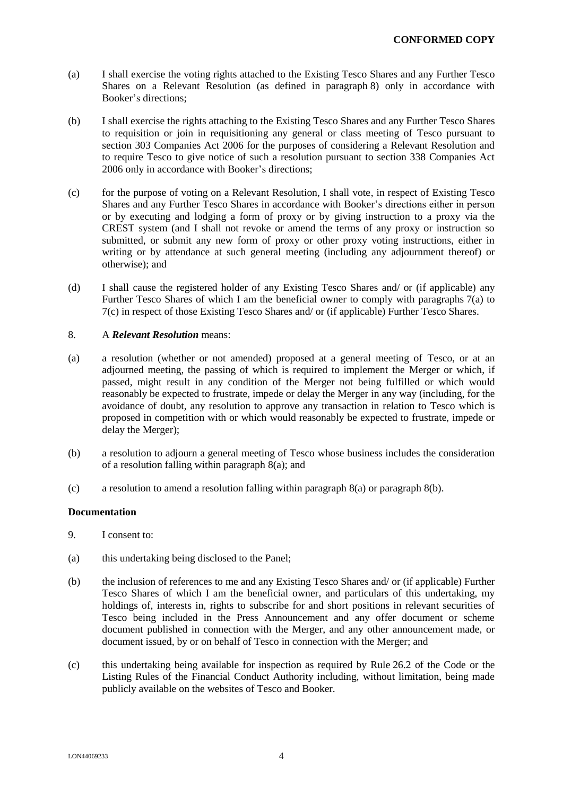- (a) I shall exercise the voting rights attached to the Existing Tesco Shares and any Further Tesco Shares on a Relevant Resolution (as defined in paragraph 8) only in accordance with Booker's directions;
- (b) I shall exercise the rights attaching to the Existing Tesco Shares and any Further Tesco Shares to requisition or join in requisitioning any general or class meeting of Tesco pursuant to section 303 Companies Act 2006 for the purposes of considering a Relevant Resolution and to require Tesco to give notice of such a resolution pursuant to section 338 Companies Act 2006 only in accordance with Booker's directions;
- (c) for the purpose of voting on a Relevant Resolution, I shall vote, in respect of Existing Tesco Shares and any Further Tesco Shares in accordance with Booker's directions either in person or by executing and lodging a form of proxy or by giving instruction to a proxy via the CREST system (and I shall not revoke or amend the terms of any proxy or instruction so submitted, or submit any new form of proxy or other proxy voting instructions, either in writing or by attendance at such general meeting (including any adjournment thereof) or otherwise); and
- (d) I shall cause the registered holder of any Existing Tesco Shares and/ or (if applicable) any Further Tesco Shares of which I am the beneficial owner to comply with paragraphs 7(a) to 7(c) in respect of those Existing Tesco Shares and/ or (if applicable) Further Tesco Shares.

#### 8. A *Relevant Resolution* means:

- (a) a resolution (whether or not amended) proposed at a general meeting of Tesco, or at an adjourned meeting, the passing of which is required to implement the Merger or which, if passed, might result in any condition of the Merger not being fulfilled or which would reasonably be expected to frustrate, impede or delay the Merger in any way (including, for the avoidance of doubt, any resolution to approve any transaction in relation to Tesco which is proposed in competition with or which would reasonably be expected to frustrate, impede or delay the Merger);
- (b) a resolution to adjourn a general meeting of Tesco whose business includes the consideration of a resolution falling within paragraph 8(a); and
- (c) a resolution to amend a resolution falling within paragraph 8(a) or paragraph 8(b).

#### **Documentation**

- 9. I consent to:
- (a) this undertaking being disclosed to the Panel;
- (b) the inclusion of references to me and any Existing Tesco Shares and/ or (if applicable) Further Tesco Shares of which I am the beneficial owner, and particulars of this undertaking, my holdings of, interests in, rights to subscribe for and short positions in relevant securities of Tesco being included in the Press Announcement and any offer document or scheme document published in connection with the Merger, and any other announcement made, or document issued, by or on behalf of Tesco in connection with the Merger; and
- (c) this undertaking being available for inspection as required by Rule 26.2 of the Code or the Listing Rules of the Financial Conduct Authority including, without limitation, being made publicly available on the websites of Tesco and Booker.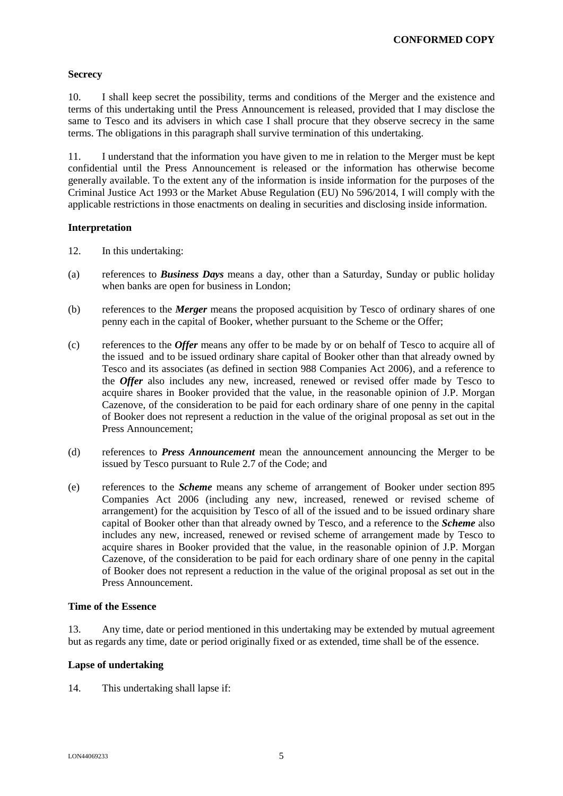## **Secrecy**

10. I shall keep secret the possibility, terms and conditions of the Merger and the existence and terms of this undertaking until the Press Announcement is released, provided that I may disclose the same to Tesco and its advisers in which case I shall procure that they observe secrecy in the same terms. The obligations in this paragraph shall survive termination of this undertaking.

11. I understand that the information you have given to me in relation to the Merger must be kept confidential until the Press Announcement is released or the information has otherwise become generally available. To the extent any of the information is inside information for the purposes of the Criminal Justice Act 1993 or the Market Abuse Regulation (EU) No 596/2014, I will comply with the applicable restrictions in those enactments on dealing in securities and disclosing inside information.

## **Interpretation**

- 12. In this undertaking:
- (a) references to *Business Days* means a day, other than a Saturday, Sunday or public holiday when banks are open for business in London;
- (b) references to the *Merger* means the proposed acquisition by Tesco of ordinary shares of one penny each in the capital of Booker, whether pursuant to the Scheme or the Offer;
- (c) references to the *Offer* means any offer to be made by or on behalf of Tesco to acquire all of the issued and to be issued ordinary share capital of Booker other than that already owned by Tesco and its associates (as defined in section 988 Companies Act 2006), and a reference to the *Offer* also includes any new, increased, renewed or revised offer made by Tesco to acquire shares in Booker provided that the value, in the reasonable opinion of J.P. Morgan Cazenove, of the consideration to be paid for each ordinary share of one penny in the capital of Booker does not represent a reduction in the value of the original proposal as set out in the Press Announcement;
- (d) references to *Press Announcement* mean the announcement announcing the Merger to be issued by Tesco pursuant to Rule 2.7 of the Code; and
- (e) references to the *Scheme* means any scheme of arrangement of Booker under section 895 Companies Act 2006 (including any new, increased, renewed or revised scheme of arrangement) for the acquisition by Tesco of all of the issued and to be issued ordinary share capital of Booker other than that already owned by Tesco, and a reference to the *Scheme* also includes any new, increased, renewed or revised scheme of arrangement made by Tesco to acquire shares in Booker provided that the value, in the reasonable opinion of J.P. Morgan Cazenove, of the consideration to be paid for each ordinary share of one penny in the capital of Booker does not represent a reduction in the value of the original proposal as set out in the Press Announcement.

## **Time of the Essence**

13. Any time, date or period mentioned in this undertaking may be extended by mutual agreement but as regards any time, date or period originally fixed or as extended, time shall be of the essence.

## **Lapse of undertaking**

14. This undertaking shall lapse if: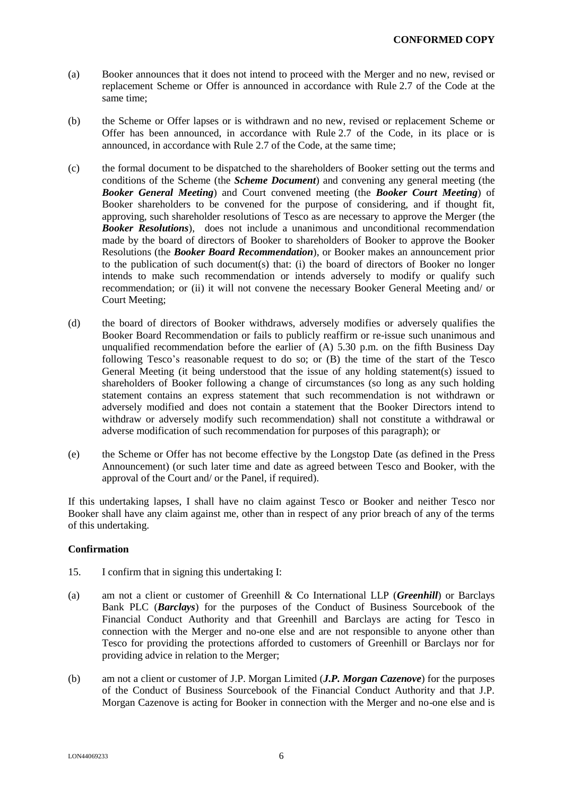- (a) Booker announces that it does not intend to proceed with the Merger and no new, revised or replacement Scheme or Offer is announced in accordance with Rule 2.7 of the Code at the same time;
- (b) the Scheme or Offer lapses or is withdrawn and no new, revised or replacement Scheme or Offer has been announced, in accordance with Rule 2.7 of the Code, in its place or is announced, in accordance with Rule 2.7 of the Code, at the same time;
- (c) the formal document to be dispatched to the shareholders of Booker setting out the terms and conditions of the Scheme (the *Scheme Document*) and convening any general meeting (the *Booker General Meeting*) and Court convened meeting (the *Booker Court Meeting*) of Booker shareholders to be convened for the purpose of considering, and if thought fit, approving, such shareholder resolutions of Tesco as are necessary to approve the Merger (the *Booker Resolutions*), does not include a unanimous and unconditional recommendation made by the board of directors of Booker to shareholders of Booker to approve the Booker Resolutions (the *Booker Board Recommendation*), or Booker makes an announcement prior to the publication of such document(s) that: (i) the board of directors of Booker no longer intends to make such recommendation or intends adversely to modify or qualify such recommendation; or (ii) it will not convene the necessary Booker General Meeting and/ or Court Meeting;
- (d) the board of directors of Booker withdraws, adversely modifies or adversely qualifies the Booker Board Recommendation or fails to publicly reaffirm or re-issue such unanimous and unqualified recommendation before the earlier of  $(A)$  5.30 p.m. on the fifth Business Day following Tesco's reasonable request to do so; or (B) the time of the start of the Tesco General Meeting (it being understood that the issue of any holding statement(s) issued to shareholders of Booker following a change of circumstances (so long as any such holding statement contains an express statement that such recommendation is not withdrawn or adversely modified and does not contain a statement that the Booker Directors intend to withdraw or adversely modify such recommendation) shall not constitute a withdrawal or adverse modification of such recommendation for purposes of this paragraph); or
- (e) the Scheme or Offer has not become effective by the Longstop Date (as defined in the Press Announcement) (or such later time and date as agreed between Tesco and Booker, with the approval of the Court and/ or the Panel, if required).

If this undertaking lapses, I shall have no claim against Tesco or Booker and neither Tesco nor Booker shall have any claim against me, other than in respect of any prior breach of any of the terms of this undertaking.

## **Confirmation**

- 15. I confirm that in signing this undertaking I:
- (a) am not a client or customer of Greenhill & Co International LLP (*Greenhill*) or Barclays Bank PLC (*Barclays*) for the purposes of the Conduct of Business Sourcebook of the Financial Conduct Authority and that Greenhill and Barclays are acting for Tesco in connection with the Merger and no-one else and are not responsible to anyone other than Tesco for providing the protections afforded to customers of Greenhill or Barclays nor for providing advice in relation to the Merger;
- (b) am not a client or customer of J.P. Morgan Limited (*J.P. Morgan Cazenove*) for the purposes of the Conduct of Business Sourcebook of the Financial Conduct Authority and that J.P. Morgan Cazenove is acting for Booker in connection with the Merger and no-one else and is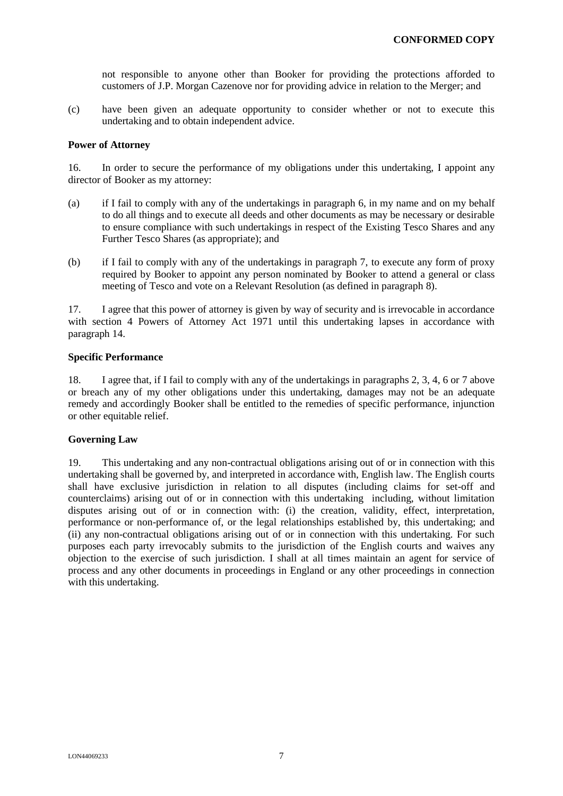not responsible to anyone other than Booker for providing the protections afforded to customers of J.P. Morgan Cazenove nor for providing advice in relation to the Merger; and

(c) have been given an adequate opportunity to consider whether or not to execute this undertaking and to obtain independent advice.

#### **Power of Attorney**

16. In order to secure the performance of my obligations under this undertaking, I appoint any director of Booker as my attorney:

- (a) if I fail to comply with any of the undertakings in paragraph 6, in my name and on my behalf to do all things and to execute all deeds and other documents as may be necessary or desirable to ensure compliance with such undertakings in respect of the Existing Tesco Shares and any Further Tesco Shares (as appropriate); and
- (b) if I fail to comply with any of the undertakings in paragraph 7, to execute any form of proxy required by Booker to appoint any person nominated by Booker to attend a general or class meeting of Tesco and vote on a Relevant Resolution (as defined in paragraph 8).

17. I agree that this power of attorney is given by way of security and is irrevocable in accordance with section 4 Powers of Attorney Act 1971 until this undertaking lapses in accordance with paragraph 14.

#### **Specific Performance**

18. I agree that, if I fail to comply with any of the undertakings in paragraphs 2, 3, 4, 6 or 7 above or breach any of my other obligations under this undertaking, damages may not be an adequate remedy and accordingly Booker shall be entitled to the remedies of specific performance, injunction or other equitable relief.

## **Governing Law**

19. This undertaking and any non-contractual obligations arising out of or in connection with this undertaking shall be governed by, and interpreted in accordance with, English law. The English courts shall have exclusive jurisdiction in relation to all disputes (including claims for set-off and counterclaims) arising out of or in connection with this undertaking including, without limitation disputes arising out of or in connection with: (i) the creation, validity, effect, interpretation, performance or non-performance of, or the legal relationships established by, this undertaking; and (ii) any non-contractual obligations arising out of or in connection with this undertaking. For such purposes each party irrevocably submits to the jurisdiction of the English courts and waives any objection to the exercise of such jurisdiction. I shall at all times maintain an agent for service of process and any other documents in proceedings in England or any other proceedings in connection with this undertaking.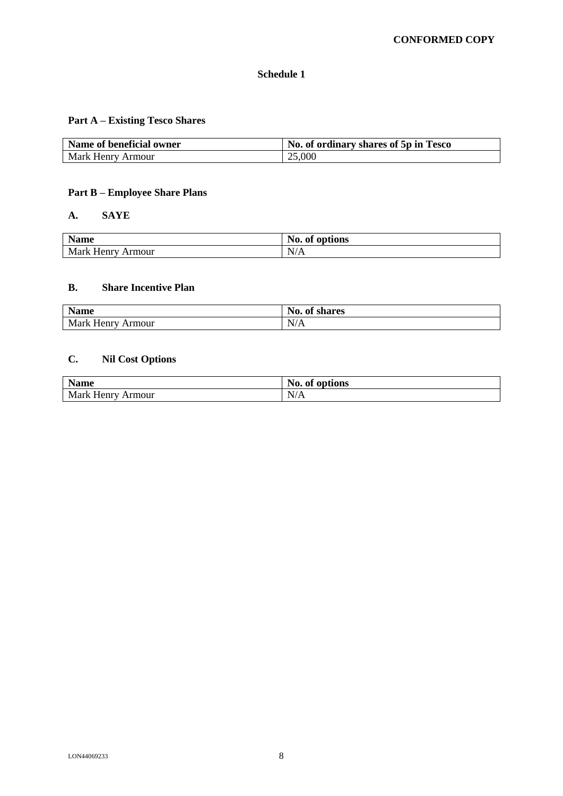## **Schedule 1**

# **Part A – Existing Tesco Shares**

| Name of beneficial owner | No. of ordinary shares of 5p in Tesco |
|--------------------------|---------------------------------------|
| Mark Henry Armour        | 25,000                                |

## **Part B – Employee Share Plans**

## **A. SAYE**

| <b>Name</b>             | No.<br>options<br>of |
|-------------------------|----------------------|
| Mark<br>Henry<br>Armour | N/A                  |

# **B. Share Incentive Plan**

| <b>Name</b>              | No.<br>of shares |
|--------------------------|------------------|
| <b>Mark Henry Armour</b> | N/A              |

# **C. Nil Cost Options**

| <b>Name</b>          | No.<br>of options |
|----------------------|-------------------|
| Mark Henry<br>Armour | N/A               |